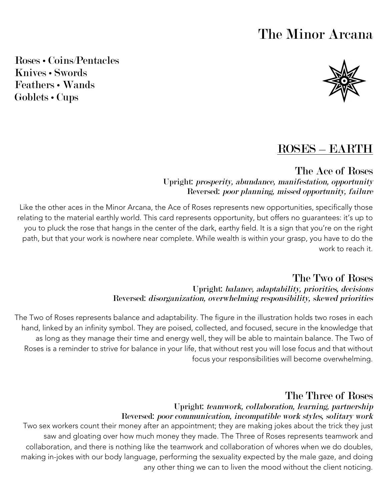# The Minor Arcana

Roses • Coins/Pentacles Knives • Swords Feathers • Wands Goblets • Cups



# ROSES – EARTH

The Ace of Roses Upright: prosperity, abundance, manifestation, opportunity Reversed: poor planning, missed opportunity, failure

Like the other aces in the Minor Arcana, the Ace of Roses represents new opportunities, specifically those relating to the material earthly world. This card represents opportunity, but offers no guarantees: it's up to you to pluck the rose that hangs in the center of the dark, earthy field. It is a sign that you're on the right path, but that your work is nowhere near complete. While wealth is within your grasp, you have to do the work to reach it.

> The Two of Roses Upright: balance, adaptability, priorities, decisions Reversed: disorganization, overwhelming responsibility, skewed priorities

The Two of Roses represents balance and adaptability. The figure in the illustration holds two roses in each hand, linked by an infinity symbol. They are poised, collected, and focused, secure in the knowledge that as long as they manage their time and energy well, they will be able to maintain balance. The Two of Roses is a reminder to strive for balance in your life, that without rest you will lose focus and that without focus your responsibilities will become overwhelming.

### The Three of Roses

#### Upright: teamwork, collaboration, learning, partnership Reversed: poor communication, incompatible work styles, solitary work

Two sex workers count their money after an appointment; they are making jokes about the trick they just saw and gloating over how much money they made. The Three of Roses represents teamwork and collaboration, and there is nothing like the teamwork and collaboration of whores when we do doubles, making in-jokes with our body language, performing the sexuality expected by the male gaze, and doing any other thing we can to liven the mood without the client noticing.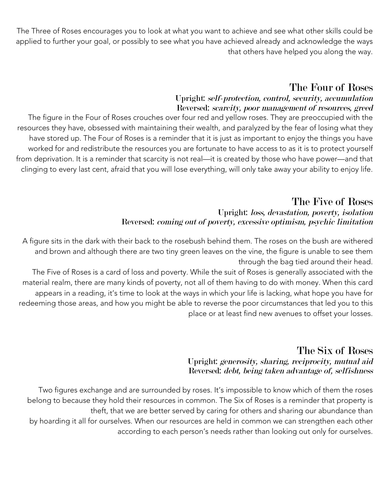The Three of Roses encourages you to look at what you want to achieve and see what other skills could be applied to further your goal, or possibly to see what you have achieved already and acknowledge the ways that others have helped you along the way.

# The Four of Roses

#### Upright: self-protection, control, security, accumulation Reversed: scarcity, poor management of resources, greed

The figure in the Four of Roses crouches over four red and yellow roses. They are preoccupied with the resources they have, obsessed with maintaining their wealth, and paralyzed by the fear of losing what they have stored up. The Four of Roses is a reminder that it is just as important to enjoy the things you have worked for and redistribute the resources you are fortunate to have access to as it is to protect yourself from deprivation. It is a reminder that scarcity is not real—it is created by those who have power—and that clinging to every last cent, afraid that you will lose everything, will only take away your ability to enjoy life.

#### The Five of Roses Upright: loss, devastation, poverty, isolation Reversed: coming out of poverty, excessive optimism, psychic limitation

A figure sits in the dark with their back to the rosebush behind them. The roses on the bush are withered and brown and although there are two tiny green leaves on the vine, the figure is unable to see them through the bag tied around their head.

The Five of Roses is a card of loss and poverty. While the suit of Roses is generally associated with the material realm, there are many kinds of poverty, not all of them having to do with money. When this card appears in a reading, it's time to look at the ways in which your life is lacking, what hope you have for redeeming those areas, and how you might be able to reverse the poor circumstances that led you to this place or at least find new avenues to offset your losses.

### The Six of Roses Upright: generosity, sharing, reciprocity, mutual aid Reversed: debt, being taken advantage of, selfishness

Two figures exchange and are surrounded by roses. It's impossible to know which of them the roses belong to because they hold their resources in common. The Six of Roses is a reminder that property is theft, that we are better served by caring for others and sharing our abundance than by hoarding it all for ourselves. When our resources are held in common we can strengthen each other according to each person's needs rather than looking out only for ourselves.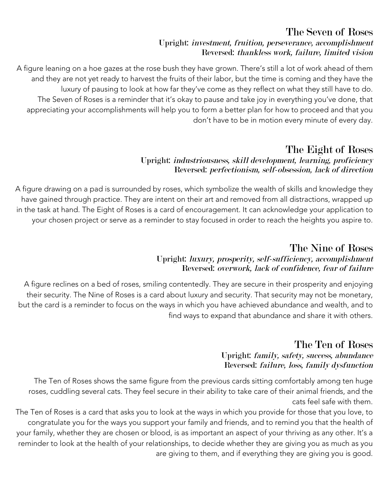# The Seven of Roses

#### Upright: investment, fruition, perseverance, accomplishment Reversed: thankless work, failure, limited vision

A figure leaning on a hoe gazes at the rose bush they have grown. There's still a lot of work ahead of them and they are not yet ready to harvest the fruits of their labor, but the time is coming and they have the luxury of pausing to look at how far they've come as they reflect on what they still have to do. The Seven of Roses is a reminder that it's okay to pause and take joy in everything you've done, that appreciating your accomplishments will help you to form a better plan for how to proceed and that you don't have to be in motion every minute of every day.

# The Eight of Roses

### Upright: industriousness, skill development, learning, proficiency Reversed: perfectionism, self-obsession, lack of direction

A figure drawing on a pad is surrounded by roses, which symbolize the wealth of skills and knowledge they have gained through practice. They are intent on their art and removed from all distractions, wrapped up in the task at hand. The Eight of Roses is a card of encouragement. It can acknowledge your application to your chosen project or serve as a reminder to stay focused in order to reach the heights you aspire to.

## The Nine of Roses Upright: luxury, prosperity, self-sufficiency, accomplishment

# Reversed: overwork, lack of confidence, fear of failure

A figure reclines on a bed of roses, smiling contentedly. They are secure in their prosperity and enjoying their security. The Nine of Roses is a card about luxury and security. That security may not be monetary, but the card is a reminder to focus on the ways in which you have achieved abundance and wealth, and to find ways to expand that abundance and share it with others.

### The Ten of Roses Upright: family, safety, success, abundance Reversed: failure, loss, family dysfunction

The Ten of Roses shows the same figure from the previous cards sitting comfortably among ten huge roses, cuddling several cats. They feel secure in their ability to take care of their animal friends, and the cats feel safe with them.

The Ten of Roses is a card that asks you to look at the ways in which you provide for those that you love, to congratulate you for the ways you support your family and friends, and to remind you that the health of your family, whether they are chosen or blood, is as important an aspect of your thriving as any other. It's a reminder to look at the health of your relationships, to decide whether they are giving you as much as you are giving to them, and if everything they are giving you is good.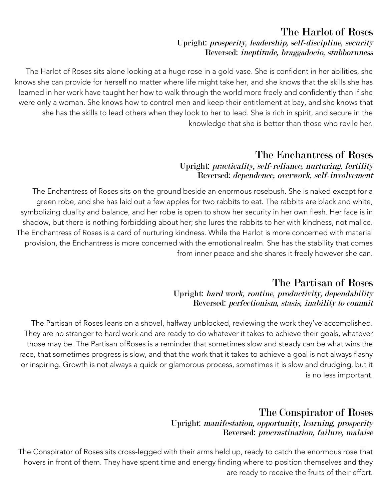### The Harlot of Roses Upright: prosperity, leadership, self-discipline, security Reversed: ineptitude, braggadocio, stubbornness

The Harlot of Roses sits alone looking at a huge rose in a gold vase. She is confident in her abilities, she knows she can provide for herself no matter where life might take her, and she knows that the skills she has learned in her work have taught her how to walk through the world more freely and confidently than if she were only a woman. She knows how to control men and keep their entitlement at bay, and she knows that she has the skills to lead others when they look to her to lead. She is rich in spirit, and secure in the knowledge that she is better than those who revile her.

# The Enchantress of Roses

#### Upright: practicality, self-reliance, nurturing, fertility Reversed: dependence, overwork, self-involvement

The Enchantress of Roses sits on the ground beside an enormous rosebush. She is naked except for a green robe, and she has laid out a few apples for two rabbits to eat. The rabbits are black and white, symbolizing duality and balance, and her robe is open to show her security in her own flesh. Her face is in shadow, but there is nothing forbidding about her; she lures the rabbits to her with kindness, not malice. The Enchantress of Roses is a card of nurturing kindness. While the Harlot is more concerned with material provision, the Enchantress is more concerned with the emotional realm. She has the stability that comes from inner peace and she shares it freely however she can.

### The Partisan of Roses Upright: hard work, routine, productivity, dependability Reversed: perfectionism, stasis, inability to commit

The Partisan of Roses leans on a shovel, halfway unblocked, reviewing the work they've accomplished. They are no stranger to hard work and are ready to do whatever it takes to achieve their goals, whatever those may be. The Partisan ofRoses is a reminder that sometimes slow and steady can be what wins the race, that sometimes progress is slow, and that the work that it takes to achieve a goal is not always flashy or inspiring. Growth is not always a quick or glamorous process, sometimes it is slow and drudging, but it is no less important.

### The Conspirator of Roses Upright: manifestation, opportunity, learning, prosperity Reversed: procrastination, failure, malaise

The Conspirator of Roses sits cross-legged with their arms held up, ready to catch the enormous rose that hovers in front of them. They have spent time and energy finding where to position themselves and they are ready to receive the fruits of their effort.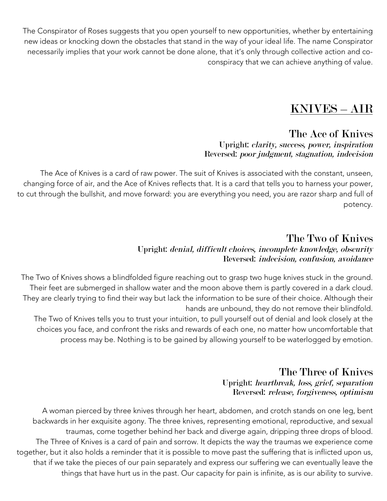The Conspirator of Roses suggests that you open yourself to new opportunities, whether by entertaining new ideas or knocking down the obstacles that stand in the way of your ideal life. The name Conspirator necessarily implies that your work cannot be done alone, that it's only through collective action and coconspiracy that we can achieve anything of value.

# KNIVES – AIR

# The Ace of Knives

#### Upright: clarity, success, power, inspiration Reversed: poor judgment, stagnation, indecision

The Ace of Knives is a card of raw power. The suit of Knives is associated with the constant, unseen, changing force of air, and the Ace of Knives reflects that. It is a card that tells you to harness your power, to cut through the bullshit, and move forward: you are everything you need, you are razor sharp and full of potency.

## The Two of Knives Upright: denial, difficult choices, incomplete knowledge, obscurity Reversed: indecision, confusion, avoidance

The Two of Knives shows a blindfolded figure reaching out to grasp two huge knives stuck in the ground. Their feet are submerged in shallow water and the moon above them is partly covered in a dark cloud. They are clearly trying to find their way but lack the information to be sure of their choice. Although their hands are unbound, they do not remove their blindfold.

The Two of Knives tells you to trust your intuition, to pull yourself out of denial and look closely at the choices you face, and confront the risks and rewards of each one, no matter how uncomfortable that process may be. Nothing is to be gained by allowing yourself to be waterlogged by emotion.

## The Three of Knives Upright: heartbreak, loss, grief, separation Reversed: release, forgiveness, optimism

A woman pierced by three knives through her heart, abdomen, and crotch stands on one leg, bent backwards in her exquisite agony. The three knives, representing emotional, reproductive, and sexual traumas, come together behind her back and diverge again, dripping three drops of blood. The Three of Knives is a card of pain and sorrow. It depicts the way the traumas we experience come together, but it also holds a reminder that it is possible to move past the suffering that is inflicted upon us, that if we take the pieces of our pain separately and express our suffering we can eventually leave the things that have hurt us in the past. Our capacity for pain is infinite, as is our ability to survive.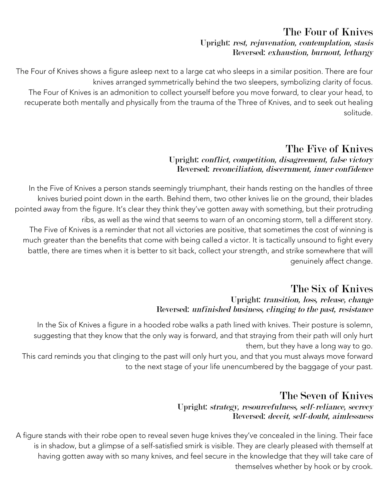## The Four of Knives Upright: rest, rejuvenation, contemplation, stasis Reversed: exhaustion, burnout, lethargy

The Four of Knives shows a figure asleep next to a large cat who sleeps in a similar position. There are four knives arranged symmetrically behind the two sleepers, symbolizing clarity of focus. The Four of Knives is an admonition to collect yourself before you move forward, to clear your head, to recuperate both mentally and physically from the trauma of the Three of Knives, and to seek out healing solitude.

# The Five of Knives

### Upright: conflict, competition, disagreement, false victory Reversed: reconciliation, discernment, inner confidence

In the Five of Knives a person stands seemingly triumphant, their hands resting on the handles of three knives buried point down in the earth. Behind them, two other knives lie on the ground, their blades pointed away from the figure. It's clear they think they've gotten away with something, but their protruding ribs, as well as the wind that seems to warn of an oncoming storm, tell a different story. The Five of Knives is a reminder that not all victories are positive, that sometimes the cost of winning is much greater than the benefits that come with being called a victor. It is tactically unsound to fight every battle, there are times when it is better to sit back, collect your strength, and strike somewhere that will genuinely affect change.

# The Six of Knives

### Upright: transition, loss, release, change Reversed: unfinished business, clinging to the past, resistance

In the Six of Knives a figure in a hooded robe walks a path lined with knives. Their posture is solemn, suggesting that they know that the only way is forward, and that straying from their path will only hurt them, but they have a long way to go.

This card reminds you that clinging to the past will only hurt you, and that you must always move forward to the next stage of your life unencumbered by the baggage of your past.

# The Seven of Knives

### Upright: strategy, resourcefulness, self-reliance, secrecy Reversed: deceit, self-doubt, aimlessness

A figure stands with their robe open to reveal seven huge knives they've concealed in the lining. Their face is in shadow, but a glimpse of a self-satisfied smirk is visible. They are clearly pleased with themself at having gotten away with so many knives, and feel secure in the knowledge that they will take care of themselves whether by hook or by crook.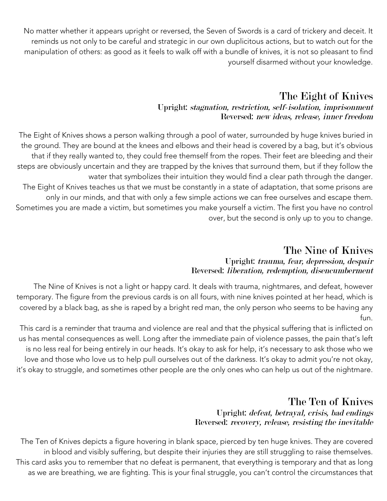No matter whether it appears upright or reversed, the Seven of Swords is a card of trickery and deceit. It reminds us not only to be careful and strategic in our own duplicitous actions, but to watch out for the manipulation of others: as good as it feels to walk off with a bundle of knives, it is not so pleasant to find yourself disarmed without your knowledge.

# The Eight of Knives

### Upright: stagnation, restriction, self-isolation, imprisonment Reversed: new ideas, release, inner freedom

The Eight of Knives shows a person walking through a pool of water, surrounded by huge knives buried in the ground. They are bound at the knees and elbows and their head is covered by a bag, but it's obvious that if they really wanted to, they could free themself from the ropes. Their feet are bleeding and their steps are obviously uncertain and they are trapped by the knives that surround them, but if they follow the water that symbolizes their intuition they would find a clear path through the danger. The Eight of Knives teaches us that we must be constantly in a state of adaptation, that some prisons are only in our minds, and that with only a few simple actions we can free ourselves and escape them. Sometimes you are made a victim, but sometimes you make yourself a victim. The first you have no control over, but the second is only up to you to change.

### The Nine of Knives Upright: trauma, fear, depression, despair Reversed: liberation, redemption, disencumberment

The Nine of Knives is not a light or happy card. It deals with trauma, nightmares, and defeat, however temporary. The figure from the previous cards is on all fours, with nine knives pointed at her head, which is covered by a black bag, as she is raped by a bright red man, the only person who seems to be having any fun.

This card is a reminder that trauma and violence are real and that the physical suffering that is inflicted on us has mental consequences as well. Long after the immediate pain of violence passes, the pain that's left is no less real for being entirely in our heads. It's okay to ask for help, it's necessary to ask those who we love and those who love us to help pull ourselves out of the darkness. It's okay to admit you're not okay, it's okay to struggle, and sometimes other people are the only ones who can help us out of the nightmare.

# The Ten of Knives

### Upright: defeat, betrayal, crisis, bad endings Reversed: recovery, release, resisting the inevitable

The Ten of Knives depicts a figure hovering in blank space, pierced by ten huge knives. They are covered in blood and visibly suffering, but despite their injuries they are still struggling to raise themselves. This card asks you to remember that no defeat is permanent, that everything is temporary and that as long as we are breathing, we are fighting. This is your final struggle, you can't control the circumstances that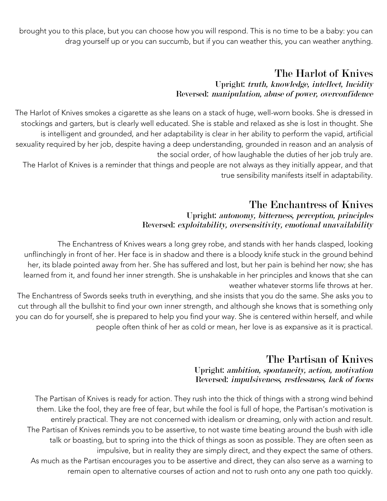brought you to this place, but you can choose how you will respond. This is no time to be a baby: you can drag yourself up or you can succumb, but if you can weather this, you can weather anything.

### The Harlot of Knives Upright: truth, knowledge, intellect, lucidity Reversed: manipulation, abuse of power, overconfidence

The Harlot of Knives smokes a cigarette as she leans on a stack of huge, well-worn books. She is dressed in stockings and garters, but is clearly well educated. She is stable and relaxed as she is lost in thought. She is intelligent and grounded, and her adaptability is clear in her ability to perform the vapid, artificial sexuality required by her job, despite having a deep understanding, grounded in reason and an analysis of the social order, of how laughable the duties of her job truly are.

The Harlot of Knives is a reminder that things and people are not always as they initially appear, and that true sensibility manifests itself in adaptability.

## The Enchantress of Knives

#### Upright: autonomy, bitterness, perception, principles Reversed: exploitability, oversensitivity, emotional unavailability

The Enchantress of Knives wears a long grey robe, and stands with her hands clasped, looking unflinchingly in front of her. Her face is in shadow and there is a bloody knife stuck in the ground behind her, its blade pointed away from her. She has suffered and lost, but her pain is behind her now; she has learned from it, and found her inner strength. She is unshakable in her principles and knows that she can weather whatever storms life throws at her.

The Enchantress of Swords seeks truth in everything, and she insists that you do the same. She asks you to cut through all the bullshit to find your own inner strength, and although she knows that is something only you can do for yourself, she is prepared to help you find your way. She is centered within herself, and while people often think of her as cold or mean, her love is as expansive as it is practical.

# The Partisan of Knives

#### Upright: ambition, spontaneity, action, motivation Reversed: impulsiveness, restlessness, lack of focus

The Partisan of Knives is ready for action. They rush into the thick of things with a strong wind behind them. Like the fool, they are free of fear, but while the fool is full of hope, the Partisan's motivation is entirely practical. They are not concerned with idealism or dreaming, only with action and result. The Partisan of Knives reminds you to be assertive, to not waste time beating around the bush with idle talk or boasting, but to spring into the thick of things as soon as possible. They are often seen as impulsive, but in reality they are simply direct, and they expect the same of others. As much as the Partisan encourages you to be assertive and direct, they can also serve as a warning to remain open to alternative courses of action and not to rush onto any one path too quickly.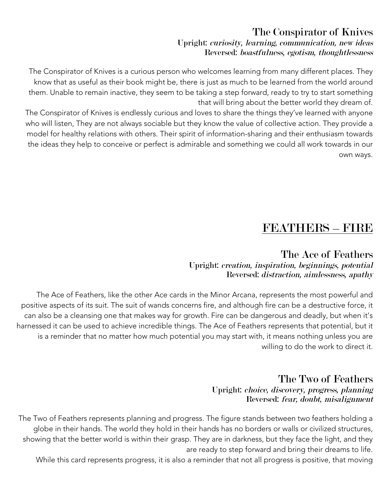### The Conspirator of Knives Upright: curiosity, learning, communication, new ideas Reversed: boastfulness, egotism, thoughtlessness

The Conspirator of Knives is a curious person who welcomes learning from many different places. They know that as useful as their book might be, there is just as much to be learned from the world around them. Unable to remain inactive, they seem to be taking a step forward, ready to try to start something that will bring about the better world they dream of.

The Conspirator of Knives is endlessly curious and loves to share the things they've learned with anyone who will listen, They are not always sociable but they know the value of collective action. They provide a model for healthy relations with others. Their spirit of information-sharing and their enthusiasm towards the ideas they help to conceive or perfect is admirable and something we could all work towards in our own ways.

# FEATHERS – FIRE

### The Ace of Feathers Upright: creation, inspiration, beginnings, potential Reversed: distraction, aimlessness, apathy

The Ace of Feathers, like the other Ace cards in the Minor Arcana, represents the most powerful and positive aspects of its suit. The suit of wands concerns fire, and although fire can be a destructive force, it can also be a cleansing one that makes way for growth. Fire can be dangerous and deadly, but when it's harnessed it can be used to achieve incredible things. The Ace of Feathers represents that potential, but it is a reminder that no matter how much potential you may start with, it means nothing unless you are willing to do the work to direct it.

### The Two of Feathers Upright: choice, discovery, progress, planning Reversed: fear, doubt, misalignment

The Two of Feathers represents planning and progress. The figure stands between two feathers holding a globe in their hands. The world they hold in their hands has no borders or walls or civilized structures, showing that the better world is within their grasp. They are in darkness, but they face the light, and they are ready to step forward and bring their dreams to life.

While this card represents progress, it is also a reminder that not all progress is positive, that moving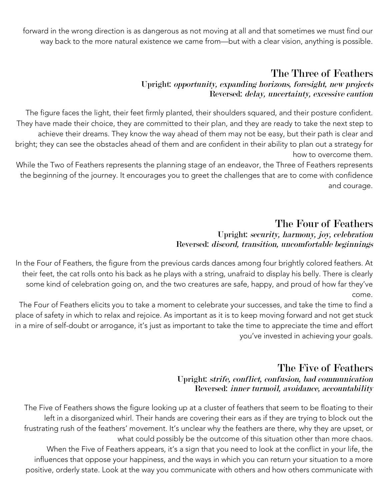forward in the wrong direction is as dangerous as not moving at all and that sometimes we must find our way back to the more natural existence we came from—but with a clear vision, anything is possible.

# The Three of Feathers

#### Upright: opportunity, expanding horizons, foresight, new projects Reversed: delay, uncertainty, excessive caution

The figure faces the light, their feet firmly planted, their shoulders squared, and their posture confident. They have made their choice, they are committed to their plan, and they are ready to take the next step to achieve their dreams. They know the way ahead of them may not be easy, but their path is clear and bright; they can see the obstacles ahead of them and are confident in their ability to plan out a strategy for how to overcome them.

While the Two of Feathers represents the planning stage of an endeavor, the Three of Feathers represents the beginning of the journey. It encourages you to greet the challenges that are to come with confidence and courage.

### The Four of Feathers Upright: security, harmony, joy, celebration Reversed: discord, transition, uncomfortable beginnings

In the Four of Feathers, the figure from the previous cards dances among four brightly colored feathers. At their feet, the cat rolls onto his back as he plays with a string, unafraid to display his belly. There is clearly some kind of celebration going on, and the two creatures are safe, happy, and proud of how far they've come.

The Four of Feathers elicits you to take a moment to celebrate your successes, and take the time to find a place of safety in which to relax and rejoice. As important as it is to keep moving forward and not get stuck in a mire of self-doubt or arrogance, it's just as important to take the time to appreciate the time and effort you've invested in achieving your goals.

# The Five of Feathers

Upright: strife, conflict, confusion, bad communication Reversed: inner turmoil, avoidance, accountability

The Five of Feathers shows the figure looking up at a cluster of feathers that seem to be floating to their left in a disorganized whirl. Their hands are covering their ears as if they are trying to block out the frustrating rush of the feathers' movement. It's unclear why the feathers are there, why they are upset, or what could possibly be the outcome of this situation other than more chaos. When the Five of Feathers appears, it's a sign that you need to look at the conflict in your life, the

influences that oppose your happiness, and the ways in which you can return your situation to a more positive, orderly state. Look at the way you communicate with others and how others communicate with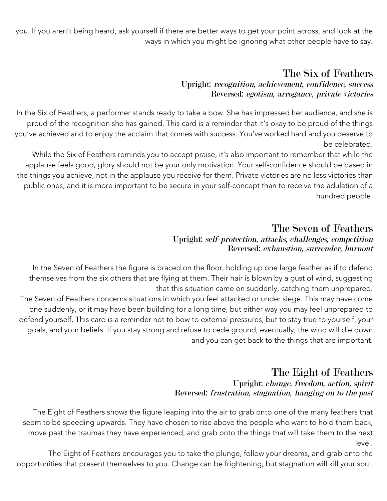you. If you aren't being heard, ask yourself if there are better ways to get your point across, and look at the ways in which you might be ignoring what other people have to say.

# The Six of Feathers

#### Upright: recognition, achievement, confidence, success Reversed: egotism, arrogance, private victories

In the Six of Feathers, a performer stands ready to take a bow. She has impressed her audience, and she is proud of the recognition she has gained. This card is a reminder that it's okay to be proud of the things you've achieved and to enjoy the acclaim that comes with success. You've worked hard and you deserve to be celebrated.

While the Six of Feathers reminds you to accept praise, it's also important to remember that while the applause feels good, glory should not be your only motivation. Your self-confidence should be based in the things you achieve, not in the applause you receive for them. Private victories are no less victories than public ones, and it is more important to be secure in your self-concept than to receive the adulation of a hundred people.

# The Seven of Feathers

### Upright: self-protection, attacks, challenges, competition Reversed: exhaustion, surrender, burnout

In the Seven of Feathers the figure is braced on the floor, holding up one large feather as if to defend themselves from the six others that are flying at them. Their hair is blown by a gust of wind, suggesting that this situation came on suddenly, catching them unprepared. The Seven of Feathers concerns situations in which you feel attacked or under siege. This may have come

one suddenly, or it may have been building for a long time, but either way you may feel unprepared to defend yourself. This card is a reminder not to bow to external pressures, but to stay true to yourself, your goals, and your beliefs. If you stay strong and refuse to cede ground, eventually, the wind will die down and you can get back to the things that are important.

### The Eight of Feathers Upright: change, freedom, action, spirit Reversed: frustration, stagnation, hanging on to the past

The Eight of Feathers shows the figure leaping into the air to grab onto one of the many feathers that seem to be speeding upwards. They have chosen to rise above the people who want to hold them back, move past the traumas they have experienced, and grab onto the things that will take them to the next level.

The Eight of Feathers encourages you to take the plunge, follow your dreams, and grab onto the opportunities that present themselves to you. Change can be frightening, but stagnation will kill your soul.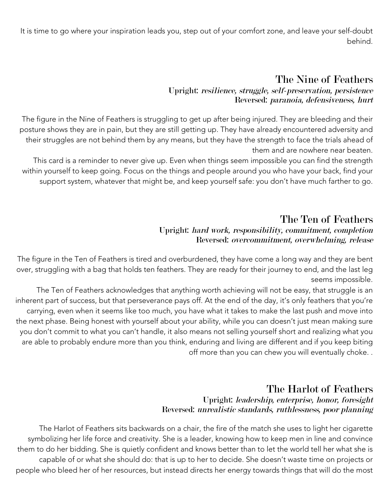It is time to go where your inspiration leads you, step out of your comfort zone, and leave your self-doubt behind.

# The Nine of Feathers

#### Upright: resilience, struggle, self-preservation, persistence Reversed: paranoia, defensiveness, hurt

The figure in the Nine of Feathers is struggling to get up after being injured. They are bleeding and their posture shows they are in pain, but they are still getting up. They have already encountered adversity and their struggles are not behind them by any means, but they have the strength to face the trials ahead of them and are nowhere near beaten.

This card is a reminder to never give up. Even when things seem impossible you can find the strength within yourself to keep going. Focus on the things and people around you who have your back, find your support system, whatever that might be, and keep yourself safe: you don't have much farther to go.

### The Ten of Feathers Upright: hard work, responsibility, commitment, completion Reversed: overcommitment, overwhelming, release

The figure in the Ten of Feathers is tired and overburdened, they have come a long way and they are bent over, struggling with a bag that holds ten feathers. They are ready for their journey to end, and the last leg seems impossible.

The Ten of Feathers acknowledges that anything worth achieving will not be easy, that struggle is an inherent part of success, but that perseverance pays off. At the end of the day, it's only feathers that you're carrying, even when it seems like too much, you have what it takes to make the last push and move into the next phase. Being honest with yourself about your ability, while you can doesn't just mean making sure you don't commit to what you can't handle, it also means not selling yourself short and realizing what you are able to probably endure more than you think, enduring and living are different and if you keep biting off more than you can chew you will eventually choke. .

### The Harlot of Feathers Upright: leadership, enterprise, honor, foresight Reversed: unrealistic standards, ruthlessness, poor planning

The Harlot of Feathers sits backwards on a chair, the fire of the match she uses to light her cigarette symbolizing her life force and creativity. She is a leader, knowing how to keep men in line and convince them to do her bidding. She is quietly confident and knows better than to let the world tell her what she is capable of or what she should do: that is up to her to decide. She doesn't waste time on projects or people who bleed her of her resources, but instead directs her energy towards things that will do the most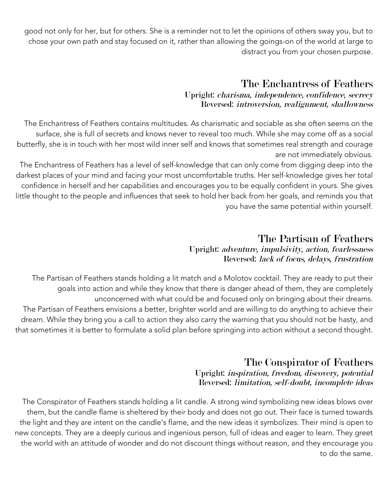good not only for her, but for others. She is a reminder not to let the opinions of others sway you, but to chose your own path and stay focused on it, rather than allowing the goings-on of the world at large to distract you from your chosen purpose.

## The Enchantress of Feathers

#### Upright: charisma, independence, confidence, secrecy Reversed: introversion, realignment, shallowness

The Enchantress of Feathers contains multitudes. As charismatic and sociable as she often seems on the surface, she is full of secrets and knows never to reveal too much. While she may come off as a social butterfly, she is in touch with her most wild inner self and knows that sometimes real strength and courage are not immediately obvious.

The Enchantress of Feathers has a level of self-knowledge that can only come from digging deep into the darkest places of your mind and facing your most uncomfortable truths. Her self-knowledge gives her total confidence in herself and her capabilities and encourages you to be equally confident in yours. She gives little thought to the people and influences that seek to hold her back from her goals, and reminds you that you have the same potential within yourself.

# The Partisan of Feathers

#### Upright: adventure, impulsivity, action, fearlessness Reversed: lack of focus, delays, frustration

The Partisan of Feathers stands holding a lit match and a Molotov cocktail. They are ready to put their goals into action and while they know that there is danger ahead of them, they are completely unconcerned with what could be and focused only on bringing about their dreams. The Partisan of Feathers envisions a better, brighter world and are willing to do anything to achieve their dream. While they bring you a call to action they also carry the warning that you should not be hasty, and that sometimes it is better to formulate a solid plan before springing into action without a second thought.

## The Conspirator of Feathers Upright: inspiration, freedom, discovery, potential Reversed: limitation, self-doubt, incomplete ideas

The Conspirator of Feathers stands holding a lit candle. A strong wind symbolizing new ideas blows over them, but the candle flame is sheltered by their body and does not go out. Their face is turned towards the light and they are intent on the candle's flame, and the new ideas it symbolizes. Their mind is open to new concepts. They are a deeply curious and ingenious person, full of ideas and eager to learn. They greet the world with an attitude of wonder and do not discount things without reason, and they encourage you to do the same.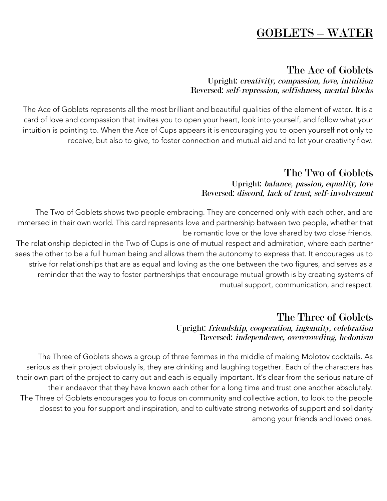# GOBLETS – WATER

## The Ace of Goblets

#### Upright: creativity, compassion, love, intuition Reversed: self-repression, selfishness, mental blocks

The Ace of Goblets represents all the most brilliant and beautiful qualities of the element of water. It is a card of love and compassion that invites you to open your heart, look into yourself, and follow what your intuition is pointing to. When the Ace of Cups appears it is encouraging you to open yourself not only to receive, but also to give, to foster connection and mutual aid and to let your creativity flow.

# The Two of Goblets

#### Upright: balance, passion, equality, love Reversed: discord, lack of trust, self-involvement

The Two of Goblets shows two people embracing. They are concerned only with each other, and are immersed in their own world. This card represents love and partnership between two people, whether that be romantic love or the love shared by two close friends.

The relationship depicted in the Two of Cups is one of mutual respect and admiration, where each partner sees the other to be a full human being and allows them the autonomy to express that. It encourages us to strive for relationships that are as equal and loving as the one between the two figures, and serves as a reminder that the way to foster partnerships that encourage mutual growth is by creating systems of mutual support, communication, and respect.

### The Three of Goblets Upright: friendship, cooperation, ingenuity, celebration Reversed: independence, overcrowding, hedonism

The Three of Goblets shows a group of three femmes in the middle of making Molotov cocktails. As serious as their project obviously is, they are drinking and laughing together. Each of the characters has their own part of the project to carry out and each is equally important. It's clear from the serious nature of their endeavor that they have known each other for a long time and trust one another absolutely. The Three of Goblets encourages you to focus on community and collective action, to look to the people closest to you for support and inspiration, and to cultivate strong networks of support and solidarity among your friends and loved ones.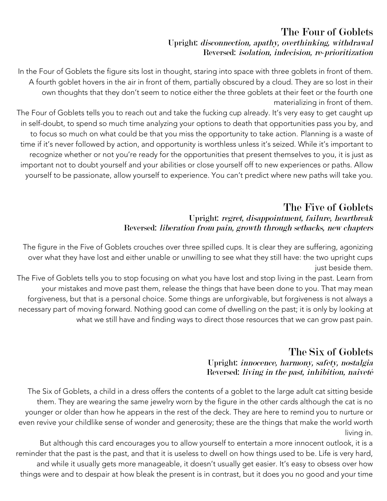### The Four of Goblets Upright: disconnection, apathy, overthinking, withdrawal Reversed: isolation, indecision, re-prioritization

In the Four of Goblets the figure sits lost in thought, staring into space with three goblets in front of them. A fourth goblet hovers in the air in front of them, partially obscured by a cloud. They are so lost in their own thoughts that they don't seem to notice either the three goblets at their feet or the fourth one materializing in front of them.

The Four of Goblets tells you to reach out and take the fucking cup already. It's very easy to get caught up in self-doubt, to spend so much time analyzing your options to death that opportunities pass you by, and to focus so much on what could be that you miss the opportunity to take action. Planning is a waste of time if it's never followed by action, and opportunity is worthless unless it's seized. While it's important to recognize whether or not you're ready for the opportunities that present themselves to you, it is just as important not to doubt yourself and your abilities or close yourself off to new experiences or paths. Allow yourself to be passionate, allow yourself to experience. You can't predict where new paths will take you.

### The Five of Goblets Upright: regret, disappointment, failure, heartbreak Reversed: liberation from pain, growth through setbacks, new chapters

The figure in the Five of Goblets crouches over three spilled cups. It is clear they are suffering, agonizing over what they have lost and either unable or unwilling to see what they still have: the two upright cups just beside them.

The Five of Goblets tells you to stop focusing on what you have lost and stop living in the past. Learn from your mistakes and move past them, release the things that have been done to you. That may mean forgiveness, but that is a personal choice. Some things are unforgivable, but forgiveness is not always a necessary part of moving forward. Nothing good can come of dwelling on the past; it is only by looking at what we still have and finding ways to direct those resources that we can grow past pain.

# The Six of Goblets

### Upright: innocence, harmony, safety, nostalgia Reversed: living in the past, inhibition, naiveté

The Six of Goblets, a child in a dress offers the contents of a goblet to the large adult cat sitting beside them. They are wearing the same jewelry worn by the figure in the other cards although the cat is no younger or older than how he appears in the rest of the deck. They are here to remind you to nurture or even revive your childlike sense of wonder and generosity; these are the things that make the world worth living in.

But although this card encourages you to allow yourself to entertain a more innocent outlook, it is a reminder that the past is the past, and that it is useless to dwell on how things used to be. Life is very hard, and while it usually gets more manageable, it doesn't usually get easier. It's easy to obsess over how things were and to despair at how bleak the present is in contrast, but it does you no good and your time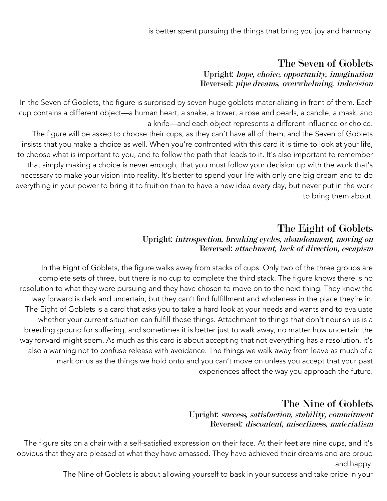## The Seven of Goblets Upright: hope, choice, opportunity, imagination Reversed: pipe dreams, overwhelming, indecision

In the Seven of Goblets, the figure is surprised by seven huge goblets materializing in front of them. Each cup contains a different object—a human heart, a snake, a tower, a rose and pearls, a candle, a mask, and a knife—and each object represents a different influence or choice.

The figure will be asked to choose their cups, as they can't have all of them, and the Seven of Goblets insists that you make a choice as well. When you're confronted with this card it is time to look at your life, to choose what is important to you, and to follow the path that leads to it. It's also important to remember that simply making a choice is never enough, that you must follow your decision up with the work that's necessary to make your vision into reality. It's better to spend your life with only one big dream and to do everything in your power to bring it to fruition than to have a new idea every day, but never put in the work to bring them about.

# The Eight of Goblets

### Upright: introspection, breaking cycles, abandonment, moving on Reversed: attachment, lack of direction, escapism

In the Eight of Goblets, the figure walks away from stacks of cups. Only two of the three groups are complete sets of three, but there is no cup to complete the third stack. The figure knows there is no resolution to what they were pursuing and they have chosen to move on to the next thing. They know the way forward is dark and uncertain, but they can't find fulfillment and wholeness in the place they're in. The Eight of Goblets is a card that asks you to take a hard look at your needs and wants and to evaluate whether your current situation can fulfill those things. Attachment to things that don't nourish us is a breeding ground for suffering, and sometimes it is better just to walk away, no matter how uncertain the way forward might seem. As much as this card is about accepting that not everything has a resolution, it's also a warning not to confuse release with avoidance. The things we walk away from leave as much of a mark on us as the things we hold onto and you can't move on unless you accept that your past experiences affect the way you approach the future.

# The Nine of Goblets

### Upright: success, satisfaction, stability, commitment Reversed: discontent, miserliness, materialism

The figure sits on a chair with a self-satisfied expression on their face. At their feet are nine cups, and it's obvious that they are pleased at what they have amassed. They have achieved their dreams and are proud and happy.

The Nine of Goblets is about allowing yourself to bask in your success and take pride in your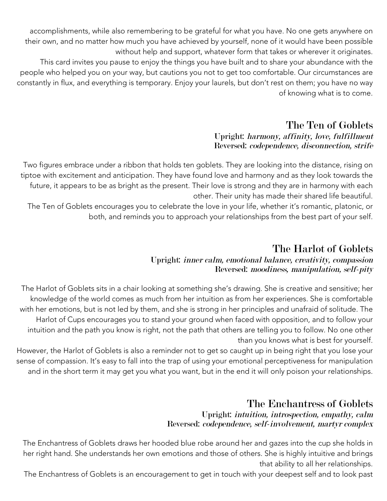accomplishments, while also remembering to be grateful for what you have. No one gets anywhere on their own, and no matter how much you have achieved by yourself, none of it would have been possible without help and support, whatever form that takes or wherever it originates. This card invites you pause to enjoy the things you have built and to share your abundance with the people who helped you on your way, but cautions you not to get too comfortable. Our circumstances are constantly in flux, and everything is temporary. Enjoy your laurels, but don't rest on them; you have no way

of knowing what is to come.

### The Ten of Goblets Upright: harmony, affinity, love, fulfillment Reversed: codependence, disconnection, strife

Two figures embrace under a ribbon that holds ten goblets. They are looking into the distance, rising on tiptoe with excitement and anticipation. They have found love and harmony and as they look towards the future, it appears to be as bright as the present. Their love is strong and they are in harmony with each other. Their unity has made their shared life beautiful.

The Ten of Goblets encourages you to celebrate the love in your life, whether it's romantic, platonic, or both, and reminds you to approach your relationships from the best part of your self.

# The Harlot of Goblets

### Upright: inner calm, emotional balance, creativity, compassion Reversed: moodiness, manipulation, self-pity

The Harlot of Goblets sits in a chair looking at something she's drawing. She is creative and sensitive; her knowledge of the world comes as much from her intuition as from her experiences. She is comfortable with her emotions, but is not led by them, and she is strong in her principles and unafraid of solitude. The Harlot of Cups encourages you to stand your ground when faced with opposition, and to follow your intuition and the path you know is right, not the path that others are telling you to follow. No one other than you knows what is best for yourself.

However, the Harlot of Goblets is also a reminder not to get so caught up in being right that you lose your sense of compassion. It's easy to fall into the trap of using your emotional perceptiveness for manipulation and in the short term it may get you what you want, but in the end it will only poison your relationships.

# The Enchantress of Goblets

### Upright: intuition, introspection, empathy, calm Reversed: codependence, self-involvement, martyr complex

The Enchantress of Goblets draws her hooded blue robe around her and gazes into the cup she holds in her right hand. She understands her own emotions and those of others. She is highly intuitive and brings that ability to all her relationships.

The Enchantress of Goblets is an encouragement to get in touch with your deepest self and to look past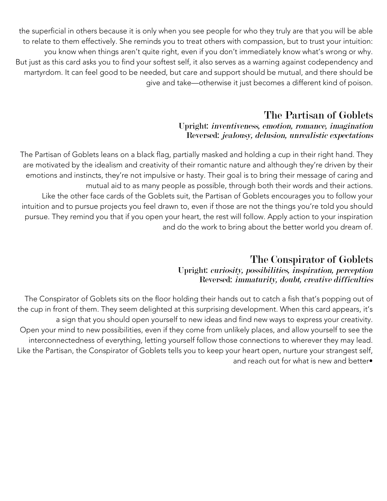the superficial in others because it is only when you see people for who they truly are that you will be able to relate to them effectively. She reminds you to treat others with compassion, but to trust your intuition: you know when things aren't quite right, even if you don't immediately know what's wrong or why. But just as this card asks you to find your softest self, it also serves as a warning against codependency and martyrdom. It can feel good to be needed, but care and support should be mutual, and there should be give and take—otherwise it just becomes a different kind of poison.

### The Partisan of Goblets Upright: inventiveness, emotion, romance, imagination Reversed: jealousy, delusion, unrealistic expectations

The Partisan of Goblets leans on a black flag, partially masked and holding a cup in their right hand. They are motivated by the idealism and creativity of their romantic nature and although they're driven by their emotions and instincts, they're not impulsive or hasty. Their goal is to bring their message of caring and mutual aid to as many people as possible, through both their words and their actions. Like the other face cards of the Goblets suit, the Partisan of Goblets encourages you to follow your intuition and to pursue projects you feel drawn to, even if those are not the things you're told you should pursue. They remind you that if you open your heart, the rest will follow. Apply action to your inspiration and do the work to bring about the better world you dream of.

# The Conspirator of Goblets

#### Upright: curiosity, possibilities, inspiration, perception Reversed: immaturity, doubt, creative difficulties

The Conspirator of Goblets sits on the floor holding their hands out to catch a fish that's popping out of the cup in front of them. They seem delighted at this surprising development. When this card appears, it's a sign that you should open yourself to new ideas and find new ways to express your creativity. Open your mind to new possibilities, even if they come from unlikely places, and allow yourself to see the interconnectedness of everything, letting yourself follow those connections to wherever they may lead. Like the Partisan, the Conspirator of Goblets tells you to keep your heart open, nurture your strangest self, and reach out for what is new and better•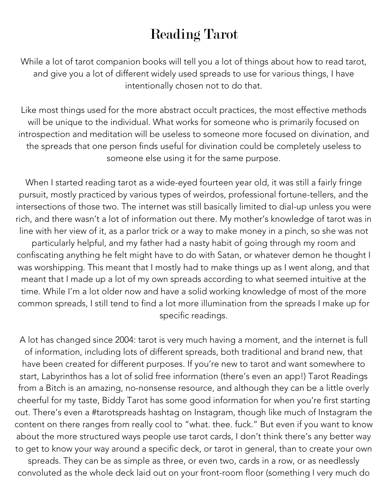# Reading Tarot

While a lot of tarot companion books will tell you a lot of things about how to read tarot, and give you a lot of different widely used spreads to use for various things, I have intentionally chosen not to do that.

Like most things used for the more abstract occult practices, the most effective methods will be unique to the individual. What works for someone who is primarily focused on introspection and meditation will be useless to someone more focused on divination, and the spreads that one person finds useful for divination could be completely useless to someone else using it for the same purpose.

When I started reading tarot as a wide-eyed fourteen year old, it was still a fairly fringe pursuit, mostly practiced by various types of weirdos, professional fortune-tellers, and the intersections of those two. The internet was still basically limited to dial-up unless you were rich, and there wasn't a lot of information out there. My mother's knowledge of tarot was in line with her view of it, as a parlor trick or a way to make money in a pinch, so she was not particularly helpful, and my father had a nasty habit of going through my room and confiscating anything he felt might have to do with Satan, or whatever demon he thought I was worshipping. This meant that I mostly had to make things up as I went along, and that meant that I made up a lot of my own spreads according to what seemed intuitive at the time. While I'm a lot older now and have a solid working knowledge of most of the more common spreads, I still tend to find a lot more illumination from the spreads I make up for specific readings.

A lot has changed since 2004: tarot is very much having a moment, and the internet is full of information, including lots of different spreads, both traditional and brand new, that have been created for different purposes. If you're new to tarot and want somewhere to start, Labyrinthos has a lot of solid free information (there's even an app!) Tarot Readings from a Bitch is an amazing, no-nonsense resource, and although they can be a little overly cheerful for my taste, Biddy Tarot has some good information for when you're first starting out. There's even a #tarotspreads hashtag on Instagram, though like much of Instagram the content on there ranges from really cool to "what. thee. fuck." But even if you want to know about the more structured ways people use tarot cards, I don't think there's any better way to get to know your way around a specific deck, or tarot in general, than to create your own spreads. They can be as simple as three, or even two, cards in a row, or as needlessly convoluted as the whole deck laid out on your front-room floor (something I very much do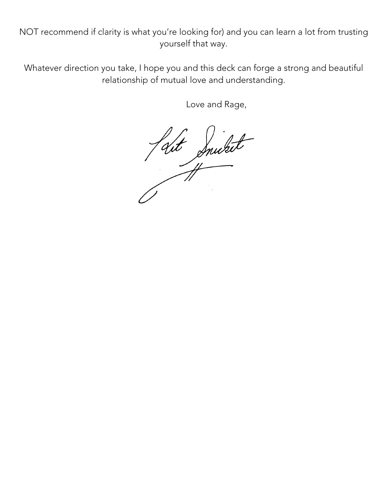NOT recommend if clarity is what you're looking for) and you can learn a lot from trusting yourself that way.

Whatever direction you take, I hope you and this deck can forge a strong and beautiful relationship of mutual love and understanding.

Love and Rage,